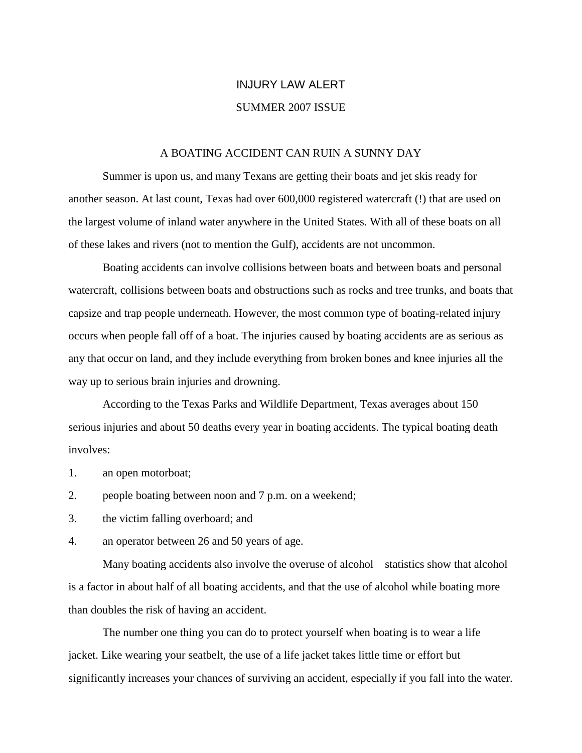# INJURY LAW ALERT SUMMER 2007 ISSUE

#### A BOATING ACCIDENT CAN RUIN A SUNNY DAY

Summer is upon us, and many Texans are getting their boats and jet skis ready for another season. At last count, Texas had over 600,000 registered watercraft (!) that are used on the largest volume of inland water anywhere in the United States. With all of these boats on all of these lakes and rivers (not to mention the Gulf), accidents are not uncommon.

Boating accidents can involve collisions between boats and between boats and personal watercraft, collisions between boats and obstructions such as rocks and tree trunks, and boats that capsize and trap people underneath. However, the most common type of boating-related injury occurs when people fall off of a boat. The injuries caused by boating accidents are as serious as any that occur on land, and they include everything from broken bones and knee injuries all the way up to serious brain injuries and drowning.

According to the Texas Parks and Wildlife Department, Texas averages about 150 serious injuries and about 50 deaths every year in boating accidents. The typical boating death involves:

- 1. an open motorboat;
- 2. people boating between noon and 7 p.m. on a weekend;
- 3. the victim falling overboard; and
- 4. an operator between 26 and 50 years of age.

Many boating accidents also involve the overuse of alcohol—statistics show that alcohol is a factor in about half of all boating accidents, and that the use of alcohol while boating more than doubles the risk of having an accident.

The number one thing you can do to protect yourself when boating is to wear a life jacket. Like wearing your seatbelt, the use of a life jacket takes little time or effort but significantly increases your chances of surviving an accident, especially if you fall into the water.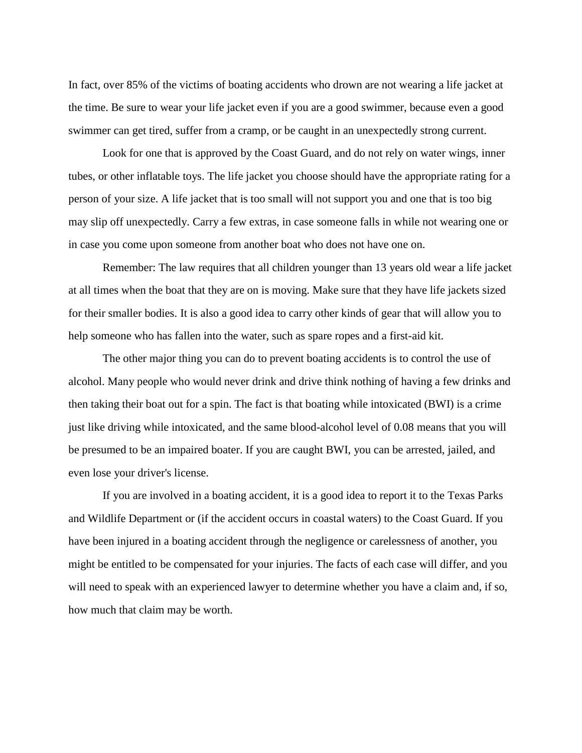In fact, over 85% of the victims of boating accidents who drown are not wearing a life jacket at the time. Be sure to wear your life jacket even if you are a good swimmer, because even a good swimmer can get tired, suffer from a cramp, or be caught in an unexpectedly strong current.

Look for one that is approved by the Coast Guard, and do not rely on water wings, inner tubes, or other inflatable toys. The life jacket you choose should have the appropriate rating for a person of your size. A life jacket that is too small will not support you and one that is too big may slip off unexpectedly. Carry a few extras, in case someone falls in while not wearing one or in case you come upon someone from another boat who does not have one on.

Remember: The law requires that all children younger than 13 years old wear a life jacket at all times when the boat that they are on is moving. Make sure that they have life jackets sized for their smaller bodies. It is also a good idea to carry other kinds of gear that will allow you to help someone who has fallen into the water, such as spare ropes and a first-aid kit.

The other major thing you can do to prevent boating accidents is to control the use of alcohol. Many people who would never drink and drive think nothing of having a few drinks and then taking their boat out for a spin. The fact is that boating while intoxicated (BWI) is a crime just like driving while intoxicated, and the same blood-alcohol level of 0.08 means that you will be presumed to be an impaired boater. If you are caught BWI, you can be arrested, jailed, and even lose your driver's license.

If you are involved in a boating accident, it is a good idea to report it to the Texas Parks and Wildlife Department or (if the accident occurs in coastal waters) to the Coast Guard. If you have been injured in a boating accident through the negligence or carelessness of another, you might be entitled to be compensated for your injuries. The facts of each case will differ, and you will need to speak with an experienced lawyer to determine whether you have a claim and, if so, how much that claim may be worth.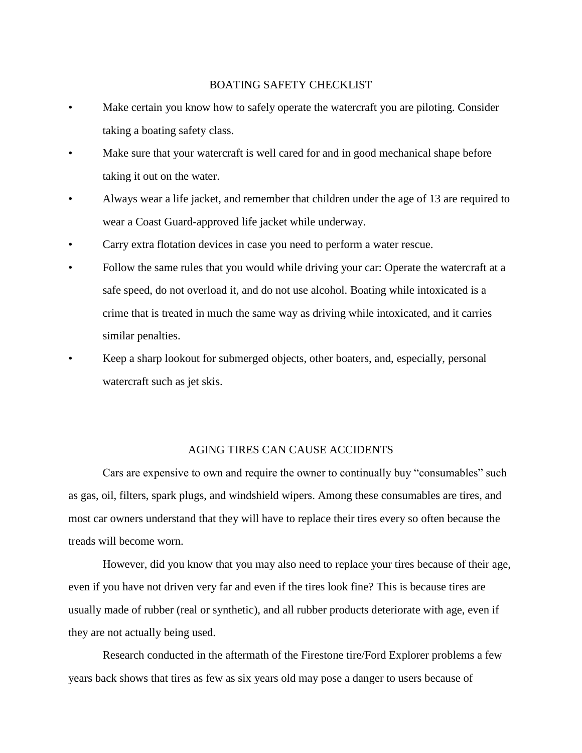# BOATING SAFETY CHECKLIST

- Make certain you know how to safely operate the watercraft you are piloting. Consider taking a boating safety class.
- Make sure that your watercraft is well cared for and in good mechanical shape before taking it out on the water.
- Always wear a life jacket, and remember that children under the age of 13 are required to wear a Coast Guard-approved life jacket while underway.
- Carry extra flotation devices in case you need to perform a water rescue.
- Follow the same rules that you would while driving your car: Operate the watercraft at a safe speed, do not overload it, and do not use alcohol. Boating while intoxicated is a crime that is treated in much the same way as driving while intoxicated, and it carries similar penalties.
- Keep a sharp lookout for submerged objects, other boaters, and, especially, personal watercraft such as jet skis.

## AGING TIRES CAN CAUSE ACCIDENTS

Cars are expensive to own and require the owner to continually buy "consumables" such as gas, oil, filters, spark plugs, and windshield wipers. Among these consumables are tires, and most car owners understand that they will have to replace their tires every so often because the treads will become worn.

However, did you know that you may also need to replace your tires because of their age, even if you have not driven very far and even if the tires look fine? This is because tires are usually made of rubber (real or synthetic), and all rubber products deteriorate with age, even if they are not actually being used.

Research conducted in the aftermath of the Firestone tire/Ford Explorer problems a few years back shows that tires as few as six years old may pose a danger to users because of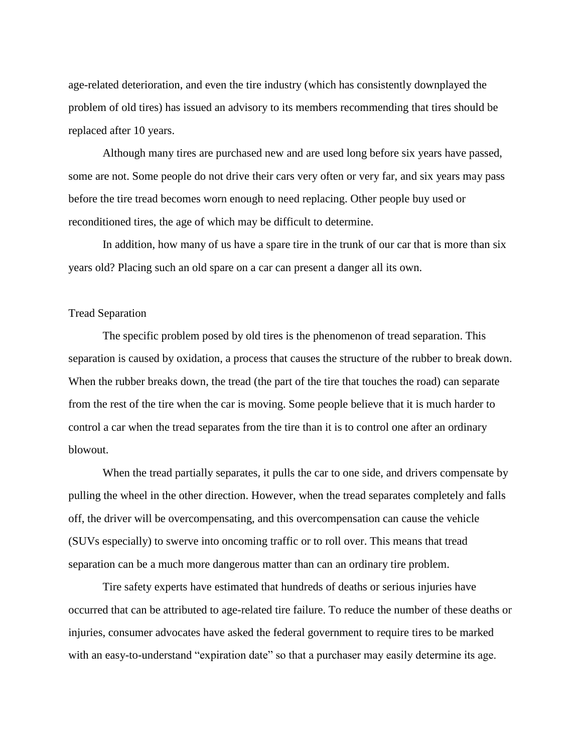age-related deterioration, and even the tire industry (which has consistently downplayed the problem of old tires) has issued an advisory to its members recommending that tires should be replaced after 10 years.

Although many tires are purchased new and are used long before six years have passed, some are not. Some people do not drive their cars very often or very far, and six years may pass before the tire tread becomes worn enough to need replacing. Other people buy used or reconditioned tires, the age of which may be difficult to determine.

In addition, how many of us have a spare tire in the trunk of our car that is more than six years old? Placing such an old spare on a car can present a danger all its own.

### Tread Separation

The specific problem posed by old tires is the phenomenon of tread separation. This separation is caused by oxidation, a process that causes the structure of the rubber to break down. When the rubber breaks down, the tread (the part of the tire that touches the road) can separate from the rest of the tire when the car is moving. Some people believe that it is much harder to control a car when the tread separates from the tire than it is to control one after an ordinary blowout.

When the tread partially separates, it pulls the car to one side, and drivers compensate by pulling the wheel in the other direction. However, when the tread separates completely and falls off, the driver will be overcompensating, and this overcompensation can cause the vehicle (SUVs especially) to swerve into oncoming traffic or to roll over. This means that tread separation can be a much more dangerous matter than can an ordinary tire problem.

Tire safety experts have estimated that hundreds of deaths or serious injuries have occurred that can be attributed to age-related tire failure. To reduce the number of these deaths or injuries, consumer advocates have asked the federal government to require tires to be marked with an easy-to-understand "expiration date" so that a purchaser may easily determine its age.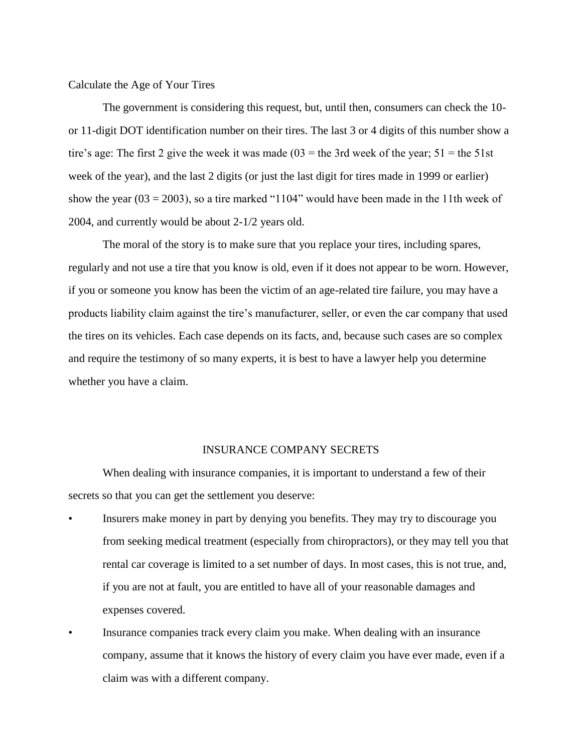Calculate the Age of Your Tires

The government is considering this request, but, until then, consumers can check the 10 or 11-digit DOT identification number on their tires. The last 3 or 4 digits of this number show a tire's age: The first 2 give the week it was made  $(03 =$  the 3rd week of the year;  $51 =$  the 51st week of the year), and the last 2 digits (or just the last digit for tires made in 1999 or earlier) show the year  $(03 = 2003)$ , so a tire marked "1104" would have been made in the 11th week of 2004, and currently would be about 2-1/2 years old.

The moral of the story is to make sure that you replace your tires, including spares, regularly and not use a tire that you know is old, even if it does not appear to be worn. However, if you or someone you know has been the victim of an age-related tire failure, you may have a products liability claim against the tire's manufacturer, seller, or even the car company that used the tires on its vehicles. Each case depends on its facts, and, because such cases are so complex and require the testimony of so many experts, it is best to have a lawyer help you determine whether you have a claim.

#### INSURANCE COMPANY SECRETS

When dealing with insurance companies, it is important to understand a few of their secrets so that you can get the settlement you deserve:

- Insurers make money in part by denying you benefits. They may try to discourage you from seeking medical treatment (especially from chiropractors), or they may tell you that rental car coverage is limited to a set number of days. In most cases, this is not true, and, if you are not at fault, you are entitled to have all of your reasonable damages and expenses covered.
- Insurance companies track every claim you make. When dealing with an insurance company, assume that it knows the history of every claim you have ever made, even if a claim was with a different company.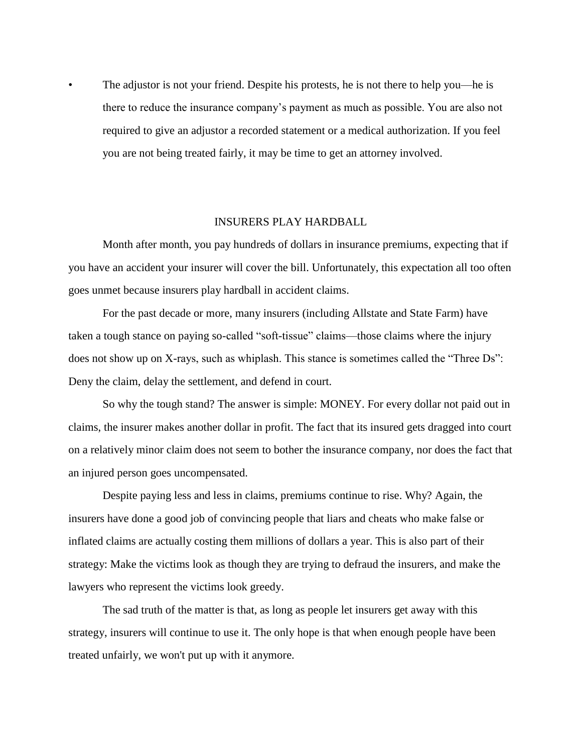• The adjustor is not your friend. Despite his protests, he is not there to help you—he is there to reduce the insurance company's payment as much as possible. You are also not required to give an adjustor a recorded statement or a medical authorization. If you feel you are not being treated fairly, it may be time to get an attorney involved.

## INSURERS PLAY HARDBALL

Month after month, you pay hundreds of dollars in insurance premiums, expecting that if you have an accident your insurer will cover the bill. Unfortunately, this expectation all too often goes unmet because insurers play hardball in accident claims.

For the past decade or more, many insurers (including Allstate and State Farm) have taken a tough stance on paying so-called "soft-tissue" claims—those claims where the injury does not show up on X-rays, such as whiplash. This stance is sometimes called the "Three Ds": Deny the claim, delay the settlement, and defend in court.

So why the tough stand? The answer is simple: MONEY. For every dollar not paid out in claims, the insurer makes another dollar in profit. The fact that its insured gets dragged into court on a relatively minor claim does not seem to bother the insurance company, nor does the fact that an injured person goes uncompensated.

Despite paying less and less in claims, premiums continue to rise. Why? Again, the insurers have done a good job of convincing people that liars and cheats who make false or inflated claims are actually costing them millions of dollars a year. This is also part of their strategy: Make the victims look as though they are trying to defraud the insurers, and make the lawyers who represent the victims look greedy.

The sad truth of the matter is that, as long as people let insurers get away with this strategy, insurers will continue to use it. The only hope is that when enough people have been treated unfairly, we won't put up with it anymore.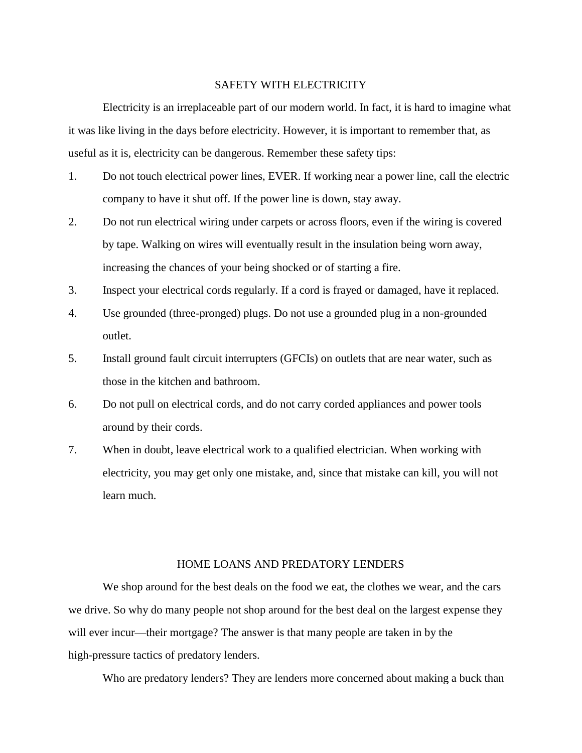## SAFETY WITH ELECTRICITY

Electricity is an irreplaceable part of our modern world. In fact, it is hard to imagine what it was like living in the days before electricity. However, it is important to remember that, as useful as it is, electricity can be dangerous. Remember these safety tips:

- 1. Do not touch electrical power lines, EVER. If working near a power line, call the electric company to have it shut off. If the power line is down, stay away.
- 2. Do not run electrical wiring under carpets or across floors, even if the wiring is covered by tape. Walking on wires will eventually result in the insulation being worn away, increasing the chances of your being shocked or of starting a fire.
- 3. Inspect your electrical cords regularly. If a cord is frayed or damaged, have it replaced.
- 4. Use grounded (three-pronged) plugs. Do not use a grounded plug in a non-grounded outlet.
- 5. Install ground fault circuit interrupters (GFCIs) on outlets that are near water, such as those in the kitchen and bathroom.
- 6. Do not pull on electrical cords, and do not carry corded appliances and power tools around by their cords.
- 7. When in doubt, leave electrical work to a qualified electrician. When working with electricity, you may get only one mistake, and, since that mistake can kill, you will not learn much.

## HOME LOANS AND PREDATORY LENDERS

We shop around for the best deals on the food we eat, the clothes we wear, and the cars we drive. So why do many people not shop around for the best deal on the largest expense they will ever incur—their mortgage? The answer is that many people are taken in by the high-pressure tactics of predatory lenders.

Who are predatory lenders? They are lenders more concerned about making a buck than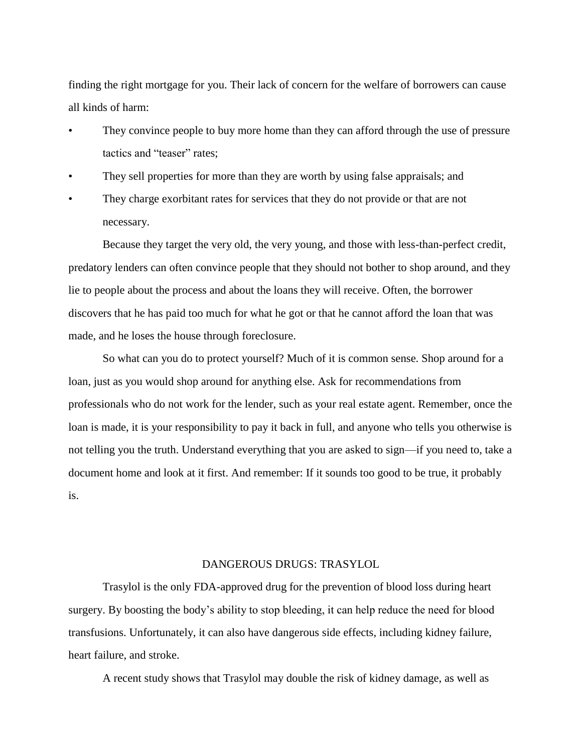finding the right mortgage for you. Their lack of concern for the welfare of borrowers can cause all kinds of harm:

- They convince people to buy more home than they can afford through the use of pressure tactics and "teaser" rates;
- They sell properties for more than they are worth by using false appraisals; and
- They charge exorbitant rates for services that they do not provide or that are not necessary.

Because they target the very old, the very young, and those with less-than-perfect credit, predatory lenders can often convince people that they should not bother to shop around, and they lie to people about the process and about the loans they will receive. Often, the borrower discovers that he has paid too much for what he got or that he cannot afford the loan that was made, and he loses the house through foreclosure.

So what can you do to protect yourself? Much of it is common sense. Shop around for a loan, just as you would shop around for anything else. Ask for recommendations from professionals who do not work for the lender, such as your real estate agent. Remember, once the loan is made, it is your responsibility to pay it back in full, and anyone who tells you otherwise is not telling you the truth. Understand everything that you are asked to sign—if you need to, take a document home and look at it first. And remember: If it sounds too good to be true, it probably is.

## DANGEROUS DRUGS: TRASYLOL

Trasylol is the only FDA-approved drug for the prevention of blood loss during heart surgery. By boosting the body's ability to stop bleeding, it can help reduce the need for blood transfusions. Unfortunately, it can also have dangerous side effects, including kidney failure, heart failure, and stroke.

A recent study shows that Trasylol may double the risk of kidney damage, as well as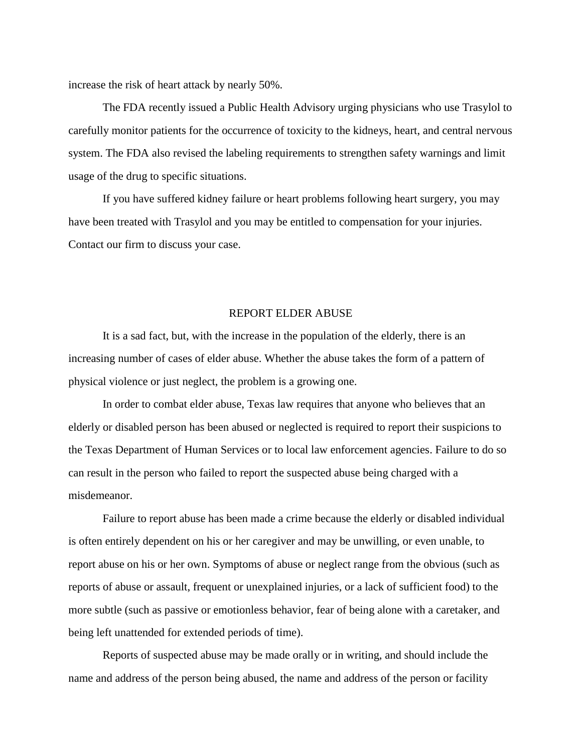increase the risk of heart attack by nearly 50%.

The FDA recently issued a Public Health Advisory urging physicians who use Trasylol to carefully monitor patients for the occurrence of toxicity to the kidneys, heart, and central nervous system. The FDA also revised the labeling requirements to strengthen safety warnings and limit usage of the drug to specific situations.

If you have suffered kidney failure or heart problems following heart surgery, you may have been treated with Trasylol and you may be entitled to compensation for your injuries. Contact our firm to discuss your case.

### REPORT ELDER ABUSE

It is a sad fact, but, with the increase in the population of the elderly, there is an increasing number of cases of elder abuse. Whether the abuse takes the form of a pattern of physical violence or just neglect, the problem is a growing one.

In order to combat elder abuse, Texas law requires that anyone who believes that an elderly or disabled person has been abused or neglected is required to report their suspicions to the Texas Department of Human Services or to local law enforcement agencies. Failure to do so can result in the person who failed to report the suspected abuse being charged with a misdemeanor.

Failure to report abuse has been made a crime because the elderly or disabled individual is often entirely dependent on his or her caregiver and may be unwilling, or even unable, to report abuse on his or her own. Symptoms of abuse or neglect range from the obvious (such as reports of abuse or assault, frequent or unexplained injuries, or a lack of sufficient food) to the more subtle (such as passive or emotionless behavior, fear of being alone with a caretaker, and being left unattended for extended periods of time).

Reports of suspected abuse may be made orally or in writing, and should include the name and address of the person being abused, the name and address of the person or facility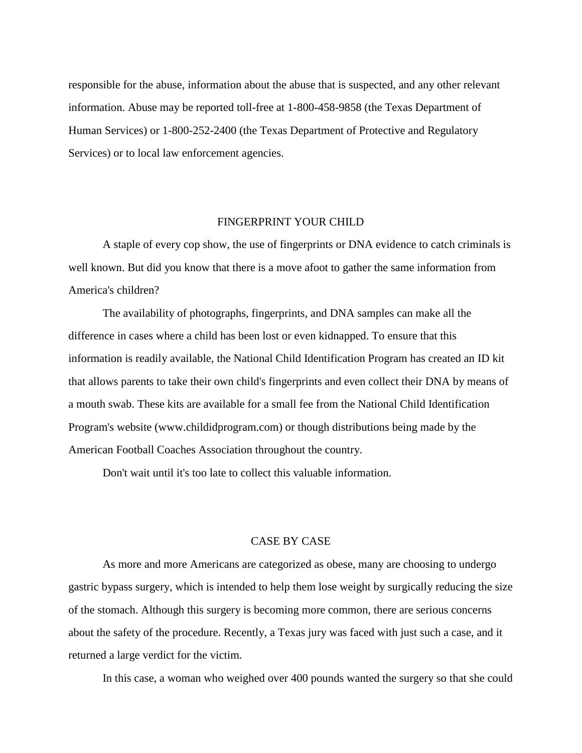responsible for the abuse, information about the abuse that is suspected, and any other relevant information. Abuse may be reported toll-free at 1-800-458-9858 (the Texas Department of Human Services) or 1-800-252-2400 (the Texas Department of Protective and Regulatory Services) or to local law enforcement agencies.

### FINGERPRINT YOUR CHILD

A staple of every cop show, the use of fingerprints or DNA evidence to catch criminals is well known. But did you know that there is a move afoot to gather the same information from America's children?

The availability of photographs, fingerprints, and DNA samples can make all the difference in cases where a child has been lost or even kidnapped. To ensure that this information is readily available, the National Child Identification Program has created an ID kit that allows parents to take their own child's fingerprints and even collect their DNA by means of a mouth swab. These kits are available for a small fee from the National Child Identification Program's website (www.childidprogram.com) or though distributions being made by the American Football Coaches Association throughout the country.

Don't wait until it's too late to collect this valuable information.

#### CASE BY CASE

As more and more Americans are categorized as obese, many are choosing to undergo gastric bypass surgery, which is intended to help them lose weight by surgically reducing the size of the stomach. Although this surgery is becoming more common, there are serious concerns about the safety of the procedure. Recently, a Texas jury was faced with just such a case, and it returned a large verdict for the victim.

In this case, a woman who weighed over 400 pounds wanted the surgery so that she could